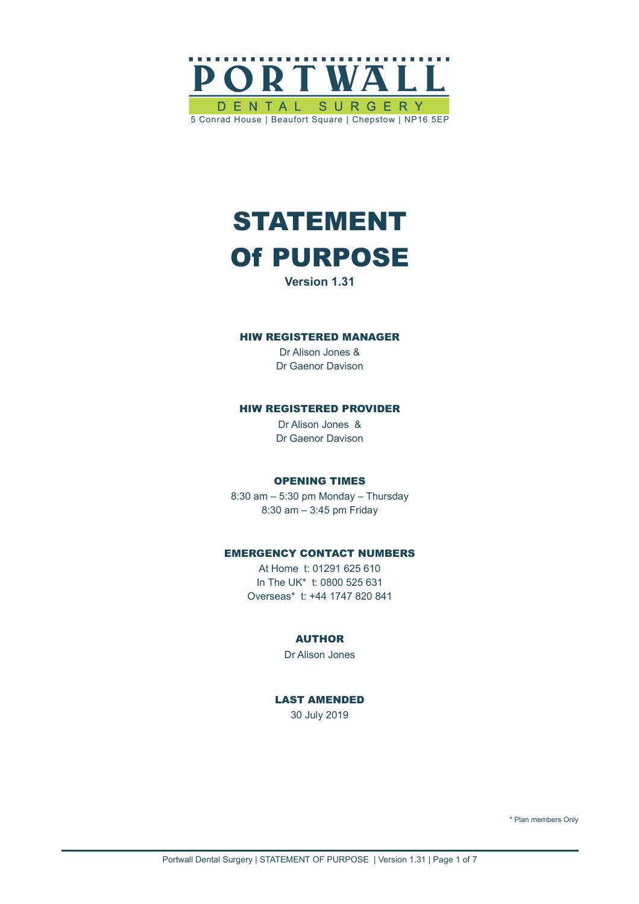

# STATEMENT Of PURPOSE

**Version 1.31**

#### HIW REGISTERED MANAGER

Dr Alison Jones & Dr Gaenor Davison

### HIW REGISTERED PROVIDER

Dr Alison Jones & Dr Gaenor Davison

#### OPENING TIMES

8:30 am – 5:30 pm Monday – Thursday 8:30 am – 3:45 pm Friday

#### EMERGENCY CONTACT NUMBERS

At Home t: 01291 625 610 In The UK\* t: 0800 525 631 Overseas\* t: +44 1747 820 841

#### AUTHOR

Dr Alison Jones

## LAST AMENDED

30 July 2019

\* Plan members Only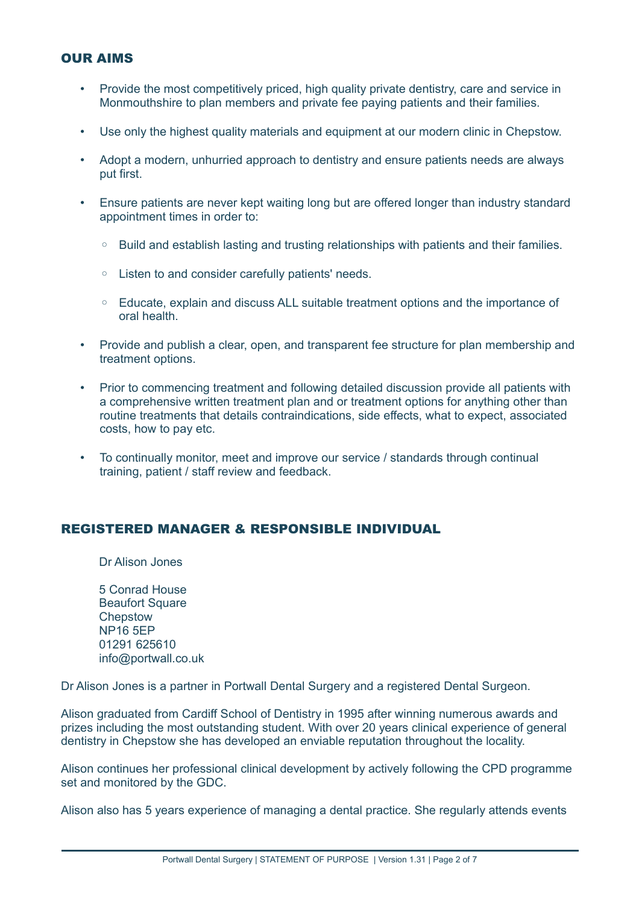## OUR AIMS

- Provide the most competitively priced, high quality private dentistry, care and service in Monmouthshire to plan members and private fee paying patients and their families.
- Use only the highest quality materials and equipment at our modern clinic in Chepstow.
- Adopt a modern, unhurried approach to dentistry and ensure patients needs are always put first.
- Ensure patients are never kept waiting long but are offered longer than industry standard appointment times in order to:
	- Build and establish lasting and trusting relationships with patients and their families.
	- Listen to and consider carefully patients' needs.
	- Educate, explain and discuss ALL suitable treatment options and the importance of oral health.
- Provide and publish a clear, open, and transparent fee structure for plan membership and treatment options.
- Prior to commencing treatment and following detailed discussion provide all patients with a comprehensive written treatment plan and or treatment options for anything other than routine treatments that details contraindications, side effects, what to expect, associated costs, how to pay etc.
- To continually monitor, meet and improve our service / standards through continual training, patient / staff review and feedback.

# REGISTERED MANAGER & RESPONSIBLE INDIVIDUAL

Dr Alison Jones

5 Conrad House Beaufort Square **Chepstow** NP16 5EP 01291 625610 info@portwall.co.uk

Dr Alison Jones is a partner in Portwall Dental Surgery and a registered Dental Surgeon.

Alison graduated from Cardiff School of Dentistry in 1995 after winning numerous awards and prizes including the most outstanding student. With over 20 years clinical experience of general dentistry in Chepstow she has developed an enviable reputation throughout the locality.

Alison continues her professional clinical development by actively following the CPD programme set and monitored by the GDC.

Alison also has 5 years experience of managing a dental practice. She regularly attends events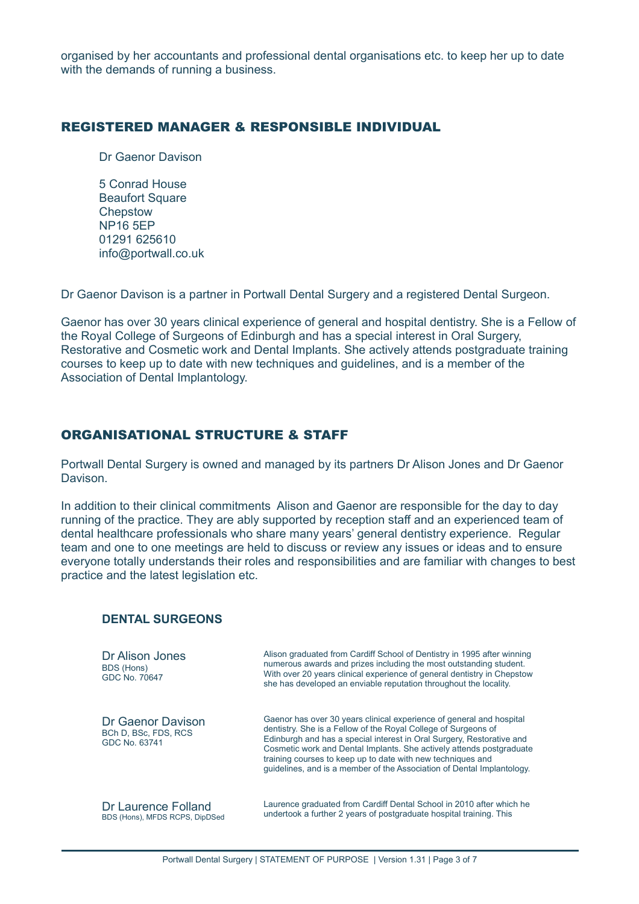organised by her accountants and professional dental organisations etc. to keep her up to date with the demands of running a business.

## REGISTERED MANAGER & RESPONSIBLE INDIVIDUAL

Dr Gaenor Davison

5 Conrad House **Beaufort Square Chepstow** NP16 5EP 01291 625610 info@portwall.co.uk

Dr Gaenor Davison is a partner in Portwall Dental Surgery and a registered Dental Surgeon.

Gaenor has over 30 years clinical experience of general and hospital dentistry. She is a Fellow of the Royal College of Surgeons of Edinburgh and has a special interest in Oral Surgery, Restorative and Cosmetic work and Dental Implants. She actively attends postgraduate training courses to keep up to date with new techniques and guidelines, and is a member of the Association of Dental Implantology.

# ORGANISATIONAL STRUCTURE & STAFF

Portwall Dental Surgery is owned and managed by its partners Dr Alison Jones and Dr Gaenor Davison.

In addition to their clinical commitments Alison and Gaenor are responsible for the day to day running of the practice. They are ably supported by reception staff and an experienced team of dental healthcare professionals who share many years' general dentistry experience. Regular team and one to one meetings are held to discuss or review any issues or ideas and to ensure everyone totally understands their roles and responsibilities and are familiar with changes to best practice and the latest legislation etc.

## **DENTAL SURGEONS**

| Dr Alison Jones<br>BDS (Hons)<br>GDC No. 70647             | Alison graduated from Cardiff School of Dentistry in 1995 after winning<br>numerous awards and prizes including the most outstanding student.<br>With over 20 years clinical experience of general dentistry in Chepstow<br>she has developed an enviable reputation throughout the locality.                                                                                                                                    |
|------------------------------------------------------------|----------------------------------------------------------------------------------------------------------------------------------------------------------------------------------------------------------------------------------------------------------------------------------------------------------------------------------------------------------------------------------------------------------------------------------|
| Dr Gaenor Davison<br>BCh D, BSc, FDS, RCS<br>GDC No. 63741 | Gaenor has over 30 years clinical experience of general and hospital<br>dentistry. She is a Fellow of the Royal College of Surgeons of<br>Edinburgh and has a special interest in Oral Surgery, Restorative and<br>Cosmetic work and Dental Implants. She actively attends postgraduate<br>training courses to keep up to date with new techniques and<br>guidelines, and is a member of the Association of Dental Implantology. |
| Dr Laurence Folland<br>BDS (Hons), MFDS RCPS, DipDSed      | Laurence graduated from Cardiff Dental School in 2010 after which he<br>undertook a further 2 years of postgraduate hospital training. This                                                                                                                                                                                                                                                                                      |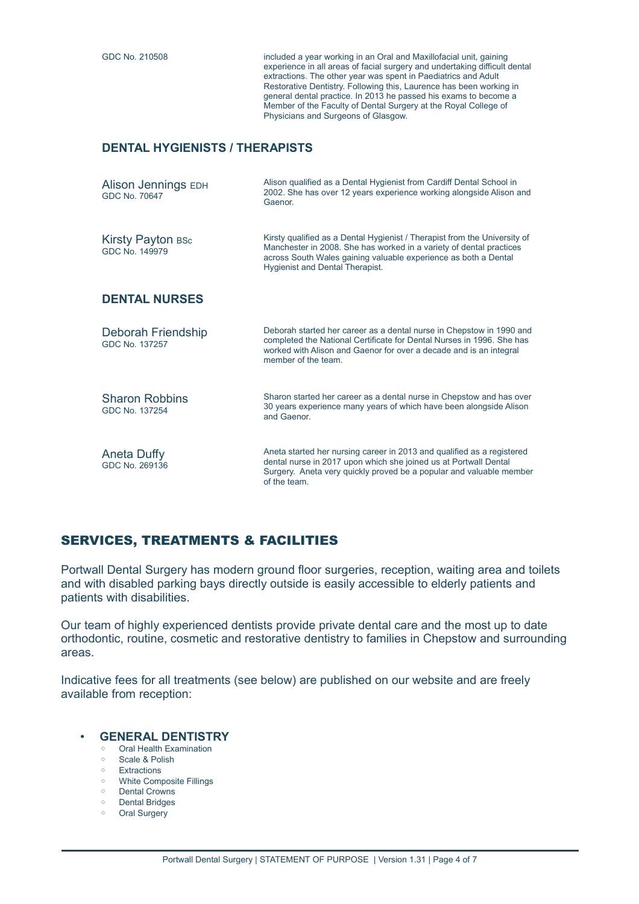GDC No. 210508 included a year working in an Oral and Maxillofacial unit, gaining experience in all areas of facial surgery and undertaking difficult dental extractions. The other year was spent in Paediatrics and Adult Restorative Dentistry. Following this, Laurence has been working in general dental practice. In 2013 he passed his exams to become a Member of the Faculty of Dental Surgery at the Royal College of Physicians and Surgeons of Glasgow.

## **DENTAL HYGIENISTS / THERAPISTS**

| Alison Jennings EDH<br>GDC No. 70647    | Alison qualified as a Dental Hygienist from Cardiff Dental School in<br>2002. She has over 12 years experience working alongside Alison and<br>Gaenor.                                                                                                        |
|-----------------------------------------|---------------------------------------------------------------------------------------------------------------------------------------------------------------------------------------------------------------------------------------------------------------|
| Kirsty Payton BSc<br>GDC No. 149979     | Kirsty qualified as a Dental Hygienist / Therapist from the University of<br>Manchester in 2008. She has worked in a variety of dental practices<br>across South Wales gaining valuable experience as both a Dental<br><b>Hygienist and Dental Therapist.</b> |
| <b>DENTAL NURSES</b>                    |                                                                                                                                                                                                                                                               |
| Deborah Friendship<br>GDC No. 137257    | Deborah started her career as a dental nurse in Chepstow in 1990 and<br>completed the National Certificate for Dental Nurses in 1996. She has<br>worked with Alison and Gaenor for over a decade and is an integral<br>member of the team.                    |
| <b>Sharon Robbins</b><br>GDC No. 137254 | Sharon started her career as a dental nurse in Chepstow and has over<br>30 years experience many years of which have been alongside Alison<br>and Gaenor.                                                                                                     |
| Aneta Duffy<br>GDC No. 269136           | Aneta started her nursing career in 2013 and qualified as a registered<br>dental nurse in 2017 upon which she joined us at Portwall Dental<br>Surgery. Aneta very quickly proved be a popular and valuable member<br>of the team.                             |

# SERVICES, TREATMENTS & FACILITIES

Portwall Dental Surgery has modern ground floor surgeries, reception, waiting area and toilets and with disabled parking bays directly outside is easily accessible to elderly patients and patients with disabilities.

Our team of highly experienced dentists provide private dental care and the most up to date orthodontic, routine, cosmetic and restorative dentistry to families in Chepstow and surrounding areas.

Indicative fees for all treatments (see below) are published on our website and are freely available from reception:

- **GENERAL DENTISTRY**
	- Oral Health Examination
	- Scale & Polish ◦ Extractions
	- White Composite Fillings
	- Dental Crowns
	- Dental Bridges
	- Oral Surgery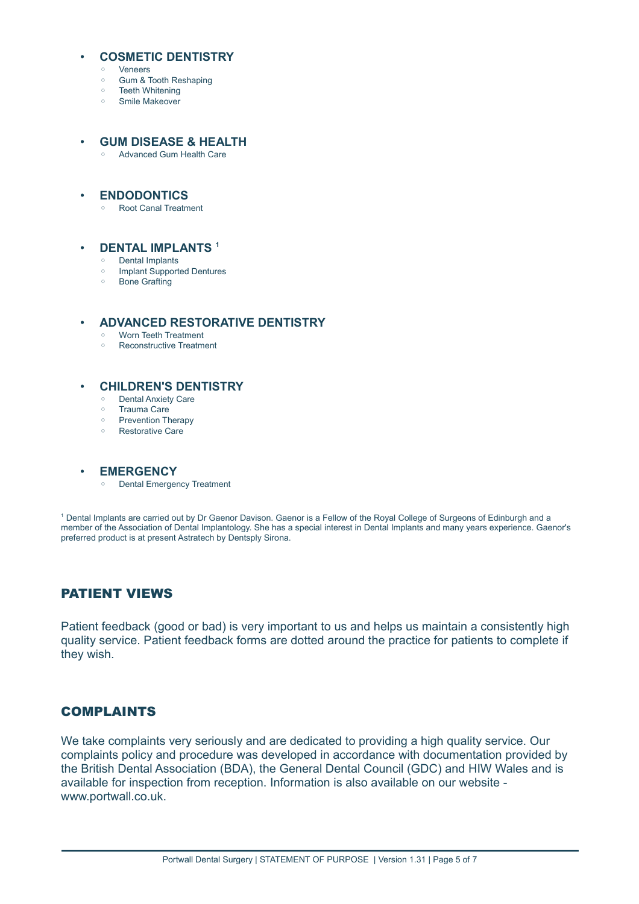#### • **COSMETIC DENTISTRY**

- Veneers
- Gum & Tooth Reshaping
- Teeth Whitening
- Smile Makeover

#### • **GUM DISEASE & HEALTH**

◦ Advanced Gum Health Care

#### • **ENDODONTICS**

◦ Root Canal Treatment

#### • **DENTAL IMPLANTS <sup>1</sup>**

- Dental Implants
- Implant Supported Dentures
- Bone Grafting

#### • **ADVANCED RESTORATIVE DENTISTRY**

- Worn Teeth Treatment
- Reconstructive Treatment

### • **CHILDREN'S DENTISTRY**

- Dental Anxiety Care
- Trauma Care
- Prevention Therapy
- Restorative Care

#### • **EMERGENCY**

◦ Dental Emergency Treatment

1 Dental Implants are carried out by Dr Gaenor Davison. Gaenor is a Fellow of the Royal College of Surgeons of Edinburgh and a member of the Association of Dental Implantology. She has a special interest in Dental Implants and many years experience. Gaenor's preferred product is at present Astratech by Dentsply Sirona.

# PATIENT VIEWS

Patient feedback (good or bad) is very important to us and helps us maintain a consistently high quality service. Patient feedback forms are dotted around the practice for patients to complete if they wish.

## COMPLAINTS

We take complaints very seriously and are dedicated to providing a high quality service. Our complaints policy and procedure was developed in accordance with documentation provided by the British Dental Association (BDA), the General Dental Council (GDC) and HIW Wales and is available for inspection from reception. Information is also available on our website www.portwall.co.uk.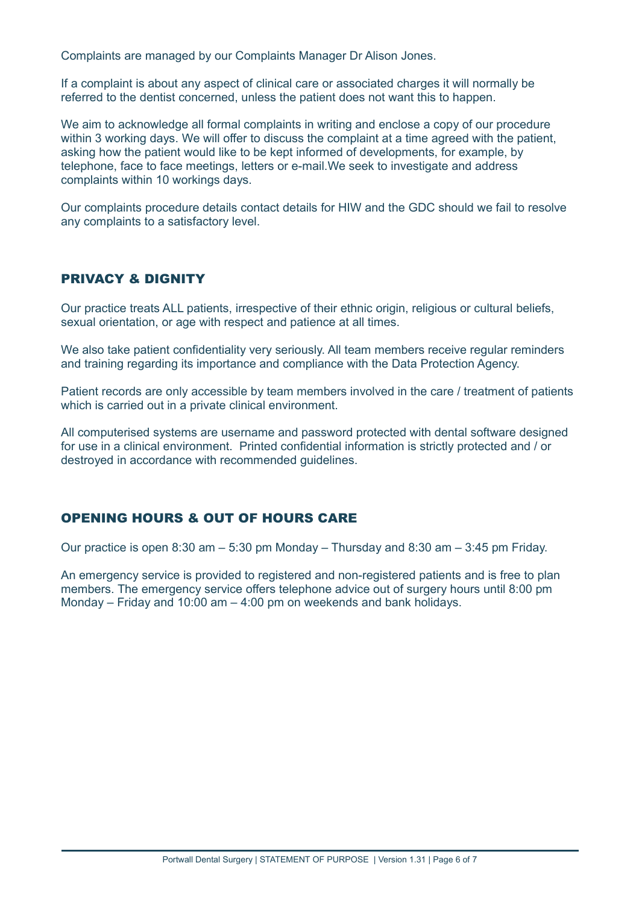Complaints are managed by our Complaints Manager Dr Alison Jones.

If a complaint is about any aspect of clinical care or associated charges it will normally be referred to the dentist concerned, unless the patient does not want this to happen.

We aim to acknowledge all formal complaints in writing and enclose a copy of our procedure within 3 working days. We will offer to discuss the complaint at a time agreed with the patient, asking how the patient would like to be kept informed of developments, for example, by telephone, face to face meetings, letters or e-mail.We seek to investigate and address complaints within 10 workings days.

Our complaints procedure details contact details for HIW and the GDC should we fail to resolve any complaints to a satisfactory level.

# PRIVACY & DIGNITY

Our practice treats ALL patients, irrespective of their ethnic origin, religious or cultural beliefs, sexual orientation, or age with respect and patience at all times.

We also take patient confidentiality very seriously. All team members receive regular reminders and training regarding its importance and compliance with the Data Protection Agency.

Patient records are only accessible by team members involved in the care / treatment of patients which is carried out in a private clinical environment.

All computerised systems are username and password protected with dental software designed for use in a clinical environment. Printed confidential information is strictly protected and / or destroyed in accordance with recommended guidelines.

# OPENING HOURS & OUT OF HOURS CARE

Our practice is open 8:30 am – 5:30 pm Monday – Thursday and 8:30 am – 3:45 pm Friday.

An emergency service is provided to registered and non-registered patients and is free to plan members. The emergency service offers telephone advice out of surgery hours until 8:00 pm Monday – Friday and 10:00 am – 4:00 pm on weekends and bank holidays.